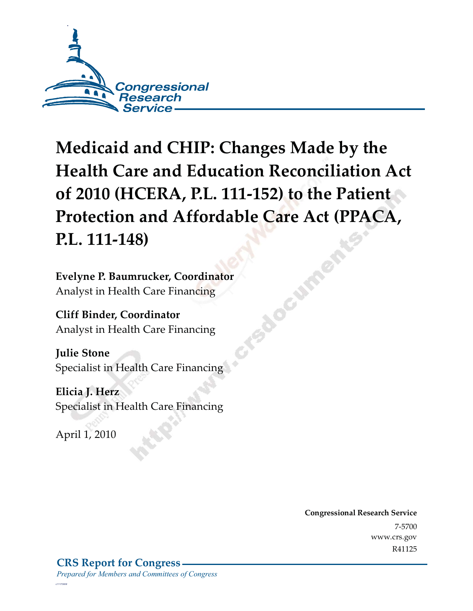

**Medicaid and CHIP: Changes Made by the Health Care and Education Reconciliation Act of 2010 (HCERA, P.L. 111-152) to the Patient Protection and Affordable Care Act (PPACA, P.L. 111-148)** 

**Evelyne P. Baumrucker, Coordinator**<br>Analyst in Health Care Financing<br>Cliff Binder, Coordinator<br>Analyst in Health Care Fire<br>Julie Stor Analyst in Health Care Financing

**Cliff Binder, Coordinator**  Analyst in Health Care Financing

**Julie Stone**  Specialist in Health Care Financing

**Elicia J. Herz**  Specialist in Health Care Financing

 $\mathbf{1}_{\mathbf{1}}$  1, 2010

**Congressional Research Service** 7-5700<br>www.crs.gov R41125  $\overline{\phantom{a}}$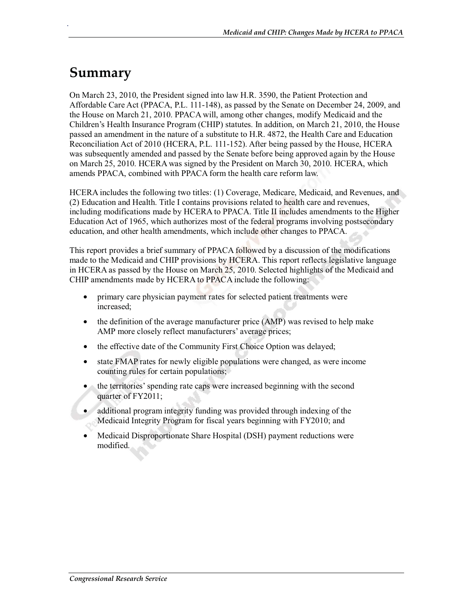## **Summary**

.

On March 23, 2010, the President signed into law H.R. 3590, the Patient Protection and Affordable Care Act (PPACA, P.L. 111-148), as passed by the Senate on December 24, 2009, and the House on March 21, 2010. PPACA will, among other changes, modify Medicaid and the Children's Health Insurance Program (CHIP) statutes. In addition, on March 21, 2010, the House passed an amendment in the nature of a substitute to H.R. 4872, the Health Care and Education Reconciliation Act of 2010 (HCERA, P.L. 111-152). After being passed by the House, HCERA was subsequently amended and passed by the Senate before being approved again by the House on March 25, 2010. HCERA was signed by the President on March 30, 2010. HCERA, which amends PPACA, combined with PPACA form the health care reform law.

HCERA includes the following two titles: (1) Coverage, Medicare, Medicaid, and Revenues, and (2) Education and Health. Title I contains provisions related to health care and revenues, including modifications made by HCERA to PPACA. Title II includes amendments to the Higher Education Act of 1965, which authorizes most of the federal programs involving postsecondary education, and other health amendments, which include other changes to PPACA.

This report provides a brief summary of PPACA followed by a discussion of the modifications made to the Medicaid and CHIP provisions by HCERA. This report reflects legislative language in HCERA as passed by the House on March 25, 2010. Selected highlights of the Medicaid and CHIP amendments made by HCERA to PPACA include the following:

- primary care physician payment rates for selected patient treatments were increased;
- the definition of the average manufacturer price (AMP) was revised to help make AMP more closely reflect manufacturers' average prices;
- the effective date of the Community First Choice Option was delayed;
- state FMAP rates for newly eligible populations were changed, as were income counting rules for certain populations;
- the territories' spending rate caps were increased beginning with the second quarter of FY2011;
- additional program integrity funding was provided through indexing of the Medicaid Integrity Program for fiscal years beginning with FY2010; and
- Medicaid Disproportionate Share Hospital (DSH) payment reductions were modified.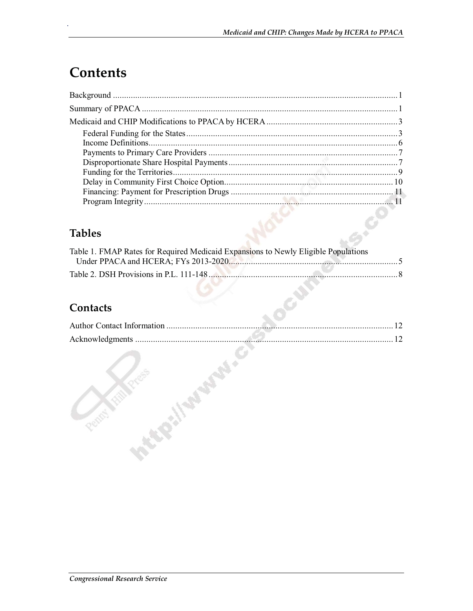# **Contents**

### **Tables**

| <b>Tables</b>                                                                      |  |
|------------------------------------------------------------------------------------|--|
| Table 1. FMAP Rates for Required Medicaid Expansions to Newly Eligible Populations |  |
|                                                                                    |  |

### Contacts

| 12 |
|----|
| 12 |
|    |
|    |
|    |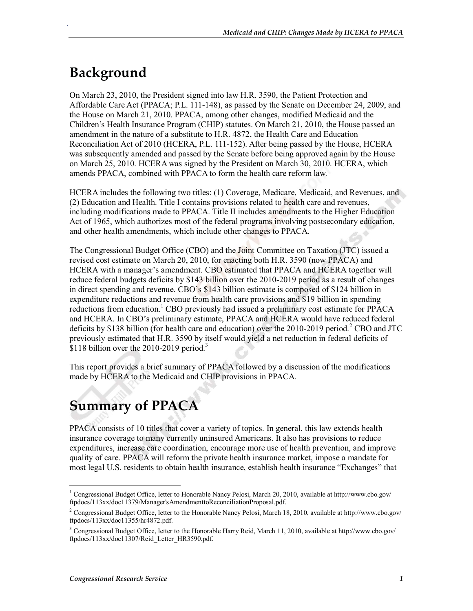# **Background**

.

On March 23, 2010, the President signed into law H.R. 3590, the Patient Protection and Affordable Care Act (PPACA; P.L. 111-148), as passed by the Senate on December 24, 2009, and the House on March 21, 2010. PPACA, among other changes, modified Medicaid and the Children's Health Insurance Program (CHIP) statutes. On March 21, 2010, the House passed an amendment in the nature of a substitute to H.R. 4872, the Health Care and Education Reconciliation Act of 2010 (HCERA, P.L. 111-152). After being passed by the House, HCERA was subsequently amended and passed by the Senate before being approved again by the House on March 25, 2010. HCERA was signed by the President on March 30, 2010. HCERA, which amends PPACA, combined with PPACA to form the health care reform law.

HCERA includes the following two titles: (1) Coverage, Medicare, Medicaid, and Revenues, and (2) Education and Health. Title I contains provisions related to health care and revenues, including modifications made to PPACA. Title II includes amendments to the Higher Education Act of 1965, which authorizes most of the federal programs involving postsecondary education, and other health amendments, which include other changes to PPACA.

The Congressional Budget Office (CBO) and the Joint Committee on Taxation (JTC) issued a revised cost estimate on March 20, 2010, for enacting both H.R. 3590 (now PPACA) and HCERA with a manager's amendment. CBO estimated that PPACA and HCERA together will reduce federal budgets deficits by \$143 billion over the 2010-2019 period as a result of changes in direct spending and revenue. CBO's \$143 billion estimate is composed of \$124 billion in expenditure reductions and revenue from health care provisions and \$19 billion in spending reductions from education.<sup>1</sup> CBO previously had issued a preliminary cost estimate for PPACA and HCERA. In CBO's preliminary estimate, PPACA and HCERA would have reduced federal deficits by \$138 billion (for health care and education) over the 2010-2019 period.<sup>2</sup> CBO and JTC previously estimated that H.R. 3590 by itself would yield a net reduction in federal deficits of \$118 billion over the 2010-2019 period.<sup>3</sup>

This report provides a brief summary of PPACA followed by a discussion of the modifications made by HCERA to the Medicaid and CHIP provisions in PPACA.

# **Summary of PPACA**

PPACA consists of 10 titles that cover a variety of topics. In general, this law extends health insurance coverage to many currently uninsured Americans. It also has provisions to reduce expenditures, increase care coordination, encourage more use of health prevention, and improve quality of care. PPACA will reform the private health insurance market, impose a mandate for most legal U.S. residents to obtain health insurance, establish health insurance "Exchanges" that

<sup>&</sup>lt;sup>1</sup> Congressional Budget Office, letter to Honorable Nancy Pelosi, March 20, 2010, available at http://www.cbo.gov/ ftpdocs/113xx/doc11379/Manager'sAmendmenttoReconciliationProposal.pdf.

<sup>&</sup>lt;sup>2</sup> Congressional Budget Office, letter to the Honorable Nancy Pelosi, March 18, 2010, available at http://www.cbo.gov/ ftpdocs/113xx/doc11355/hr4872.pdf.

<sup>&</sup>lt;sup>3</sup> Congressional Budget Office, letter to the Honorable Harry Reid, March 11, 2010, available at http://www.cbo.gov/ ftpdocs/113xx/doc11307/Reid\_Letter\_HR3590.pdf.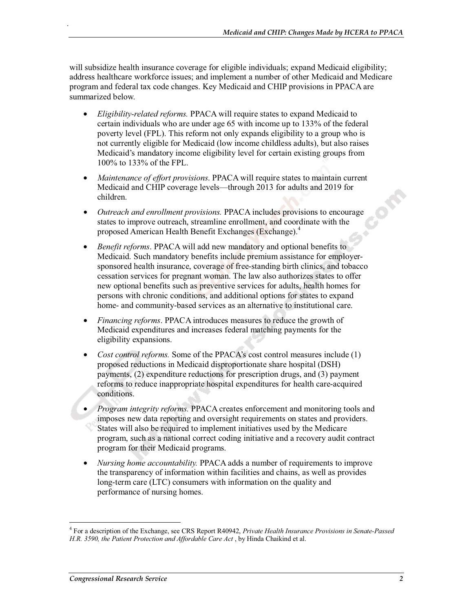will subsidize health insurance coverage for eligible individuals; expand Medicaid eligibility; address healthcare workforce issues; and implement a number of other Medicaid and Medicare program and federal tax code changes. Key Medicaid and CHIP provisions in PPACA are summarized below.

- *Eligibility-related reforms.* PPACA will require states to expand Medicaid to certain individuals who are under age 65 with income up to 133% of the federal poverty level (FPL). This reform not only expands eligibility to a group who is not currently eligible for Medicaid (low income childless adults), but also raises Medicaid's mandatory income eligibility level for certain existing groups from 100% to 133% of the FPL.
- *Maintenance of effort provisions*. PPACA will require states to maintain current Medicaid and CHIP coverage levels—through 2013 for adults and 2019 for children.
- *Outreach and enrollment provisions.* PPACA includes provisions to encourage states to improve outreach, streamline enrollment, and coordinate with the proposed American Health Benefit Exchanges (Exchange).<sup>4</sup>
- *Benefit reforms*. PPACA will add new mandatory and optional benefits to Medicaid. Such mandatory benefits include premium assistance for employersponsored health insurance, coverage of free-standing birth clinics, and tobacco cessation services for pregnant woman. The law also authorizes states to offer new optional benefits such as preventive services for adults, health homes for persons with chronic conditions, and additional options for states to expand home- and community-based services as an alternative to institutional care.
- *Financing reforms*. PPACA introduces measures to reduce the growth of Medicaid expenditures and increases federal matching payments for the eligibility expansions.
- *Cost control reforms*. Some of the PPACA's cost control measures include (1) proposed reductions in Medicaid disproportionate share hospital (DSH) payments, (2) expenditure reductions for prescription drugs, and (3) payment reforms to reduce inappropriate hospital expenditures for health care-acquired conditions.
- *Program integrity reforms.* PPACA creates enforcement and monitoring tools and imposes new data reporting and oversight requirements on states and providers. States will also be required to implement initiatives used by the Medicare program, such as a national correct coding initiative and a recovery audit contract program for their Medicaid programs.
- *Nursing home accountability.* PPACA adds a number of requirements to improve the transparency of information within facilities and chains, as well as provides long-term care (LTC) consumers with information on the quality and performance of nursing homes.

<sup>4</sup> For a description of the Exchange, see CRS Report R40942, *Private Health Insurance Provisions in Senate-Passed H.R. 3590, the Patient Protection and Affordable Care Act* , by Hinda Chaikind et al.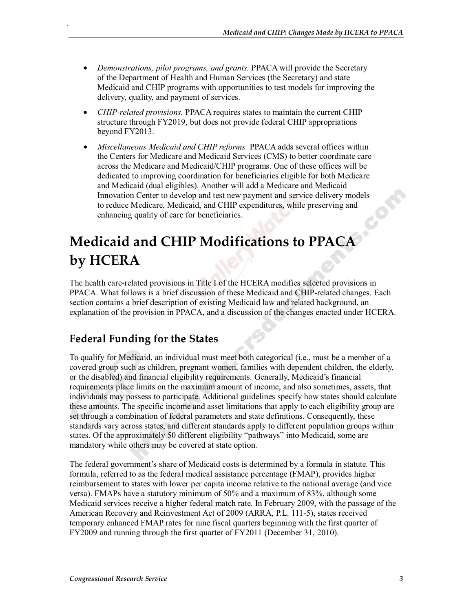- *Demonstrations, pilot programs, and grants.* PPACA will provide the Secretary of the Department of Health and Human Services (the Secretary) and state Medicaid and CHIP programs with opportunities to test models for improving the delivery, quality, and payment of services.
- *CHIP-related provisions.* PPACA requires states to maintain the current CHIP structure through FY2019, but does not provide federal CHIP appropriations beyond FY2013.
- *Miscellaneous Medicaid and CHIP reforms.* PPACA adds several offices within the Centers for Medicare and Medicaid Services (CMS) to better coordinate care across the Medicare and Medicaid/CHIP programs. One of these offices will be dedicated to improving coordination for beneficiaries eligible for both Medicare and Medicaid (dual eligibles). Another will add a Medicare and Medicaid Innovation Center to develop and test new payment and service delivery models to reduce Medicare, Medicaid, and CHIP expenditures, while preserving and enhancing quality of care for beneficiaries.

# **Medicaid and CHIP Modifications to PPACA by HCERA**

The health care-related provisions in Title I of the HCERA modifies selected provisions in PPACA. What follows is a brief discussion of these Medicaid and CHIP-related changes. Each section contains a brief description of existing Medicaid law and related background, an explanation of the provision in PPACA, and a discussion of the changes enacted under HCERA.

### **Federal Funding for the States**

.

To qualify for Medicaid, an individual must meet both categorical (i.e., must be a member of a covered group such as children, pregnant women, families with dependent children, the elderly, or the disabled) and financial eligibility requirements. Generally, Medicaid's financial requirements place limits on the maximum amount of income, and also sometimes, assets, that individuals may possess to participate. Additional guidelines specify how states should calculate these amounts. The specific income and asset limitations that apply to each eligibility group are set through a combination of federal parameters and state definitions. Consequently, these standards vary across states, and different standards apply to different population groups within states. Of the approximately 50 different eligibility "pathways" into Medicaid, some are mandatory while others may be covered at state option.

The federal government's share of Medicaid costs is determined by a formula in statute. This formula, referred to as the federal medical assistance percentage (FMAP), provides higher reimbursement to states with lower per capita income relative to the national average (and vice versa). FMAPs have a statutory minimum of 50% and a maximum of 83%, although some Medicaid services receive a higher federal match rate. In February 2009, with the passage of the American Recovery and Reinvestment Act of 2009 (ARRA, P.L. 111-5), states received temporary enhanced FMAP rates for nine fiscal quarters beginning with the first quarter of FY2009 and running through the first quarter of FY2011 (December 31, 2010).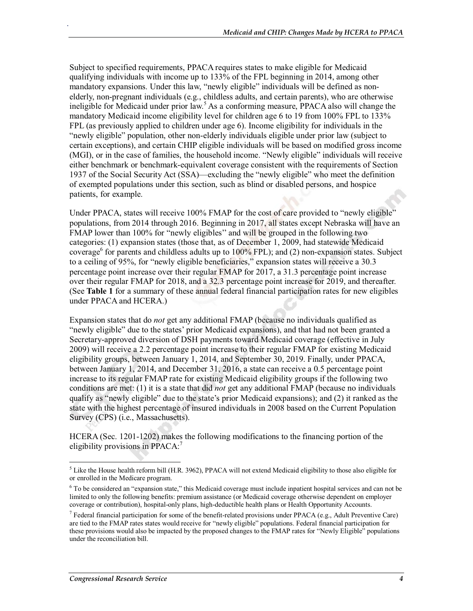Subject to specified requirements, PPACA requires states to make eligible for Medicaid qualifying individuals with income up to 133% of the FPL beginning in 2014, among other mandatory expansions. Under this law, "newly eligible" individuals will be defined as nonelderly, non-pregnant individuals (e.g., childless adults, and certain parents), who are otherwise ineligible for Medicaid under prior law.<sup>5</sup> As a conforming measure, PPACA also will change the mandatory Medicaid income eligibility level for children age 6 to 19 from 100% FPL to 133% FPL (as previously applied to children under age 6). Income eligibility for individuals in the "newly eligible" population, other non-elderly individuals eligible under prior law (subject to certain exceptions), and certain CHIP eligible individuals will be based on modified gross income (MGI), or in the case of families, the household income. "Newly eligible" individuals will receive either benchmark or benchmark-equivalent coverage consistent with the requirements of Section 1937 of the Social Security Act (SSA)—excluding the "newly eligible" who meet the definition of exempted populations under this section, such as blind or disabled persons, and hospice patients, for example.

Under PPACA, states will receive 100% FMAP for the cost of care provided to "newly eligible" populations, from 2014 through 2016. Beginning in 2017, all states except Nebraska will have an FMAP lower than 100% for "newly eligibles'' and will be grouped in the following two categories: (1) expansion states (those that, as of December 1, 2009, had statewide Medicaid coverage<sup>6</sup> for parents and childless adults up to 100% FPL); and (2) non-expansion states. Subject to a ceiling of 95%, for "newly eligible beneficiaries," expansion states will receive a 30.3 percentage point increase over their regular FMAP for 2017, a 31.3 percentage point increase over their regular FMAP for 2018, and a 32.3 percentage point increase for 2019, and thereafter. (See **Table 1** for a summary of these annual federal financial participation rates for new eligibles under PPACA and HCERA.)

Expansion states that do *not* get any additional FMAP (because no individuals qualified as "newly eligible" due to the states' prior Medicaid expansions), and that had not been granted a Secretary-approved diversion of DSH payments toward Medicaid coverage (effective in July 2009) will receive a 2.2 percentage point increase to their regular FMAP for existing Medicaid eligibility groups, between January 1, 2014, and September 30, 2019. Finally, under PPACA, between January 1, 2014, and December 31, 2016, a state can receive a 0.5 percentage point increase to its regular FMAP rate for existing Medicaid eligibility groups if the following two conditions are met: (1) it is a state that did *not* get any additional FMAP (because no individuals qualify as "newly eligible" due to the state's prior Medicaid expansions); and (2) it ranked as the state with the highest percentage of insured individuals in 2008 based on the Current Population Survey (CPS) (i.e., Massachusetts).

HCERA (Sec. 1201-1202) makes the following modifications to the financing portion of the eligibility provisions in PPACA: $^7$ 

 $<sup>5</sup>$  Like the House health reform bill (H.R. 3962), PPACA will not extend Medicaid eligibility to those also eligible for</sup> or enrolled in the Medicare program.

<sup>&</sup>lt;sup>6</sup> To be considered an "expansion state," this Medicaid coverage must include inpatient hospital services and can not be limited to only the following benefits: premium assistance (or Medicaid coverage otherwise dependent on employer coverage or contribution), hospital-only plans, high-deductible health plans or Health Opportunity Accounts.

<sup>&</sup>lt;sup>7</sup> Federal financial participation for some of the benefit-related provisions under PPACA (e.g., Adult Preventive Care) are tied to the FMAP rates states would receive for "newly eligible" populations. Federal financial participation for these provisions would also be impacted by the proposed changes to the FMAP rates for "Newly Eligible" populations under the reconciliation bill.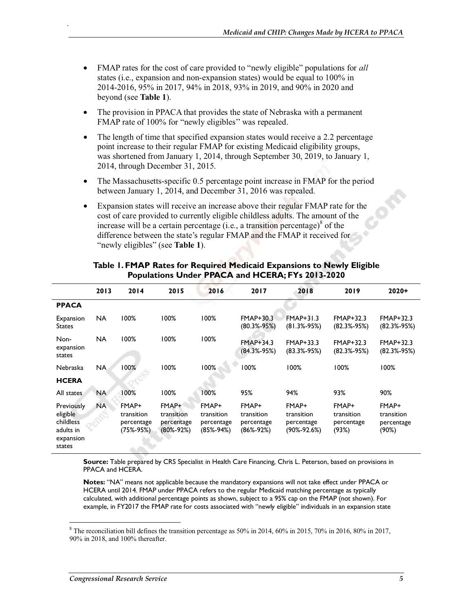- FMAP rates for the cost of care provided to "newly eligible" populations for *all* states (i.e., expansion and non-expansion states) would be equal to 100% in 2014-2016, 95% in 2017, 94% in 2018, 93% in 2019, and 90% in 2020 and beyond (see **Table 1**).
- The provision in PPACA that provides the state of Nebraska with a permanent FMAP rate of 100% for "newly eligibles" was repealed.
- The length of time that specified expansion states would receive a 2.2 percentage point increase to their regular FMAP for existing Medicaid eligibility groups, was shortened from January 1, 2014, through September 30, 2019, to January 1, 2014, through December 31, 2015.
- The Massachusetts-specific 0.5 percentage point increase in FMAP for the period between January 1, 2014, and December 31, 2016 was repealed.
- Expansion states will receive an increase above their regular FMAP rate for the cost of care provided to currently eligible childless adults. The amount of the increase will be a certain percentage (i.e., a transition percentage) $^8$  of the difference between the state's regular FMAP and the FMAP it received for "newly eligibles" (see **Table 1**).

|                                                                         | 2013      | 2014                                                          | 2015                                                 | 2016                                                 | 2017                                                 | 2018                                             | 2019                                       | $2020+$                                    |
|-------------------------------------------------------------------------|-----------|---------------------------------------------------------------|------------------------------------------------------|------------------------------------------------------|------------------------------------------------------|--------------------------------------------------|--------------------------------------------|--------------------------------------------|
| <b>PPACA</b>                                                            |           |                                                               |                                                      |                                                      |                                                      |                                                  |                                            |                                            |
| Expansion<br><b>States</b>                                              | NA.       | 100%                                                          | 100%                                                 | 100%                                                 | <b>FMAP+30.3</b><br>(80.3%-95%)                      | $FMAP+31.3$<br>$(81.3\% - 95\%)$                 | $FMAP+32.3$<br>$(82.3\% - 95\%)$           | $FMAP+32.3$<br>$(82.3\% - 95\%)$           |
| Non-<br>expansion<br>states                                             | <b>NA</b> | 100%                                                          | 100%                                                 | 100%                                                 | <b>FMAP+34.3</b><br>$(84.3\% - 95\%)$                | $FMAP+33.3$<br>$(83.3\% - 95\%)$                 | FMAP+32.3<br>$(82.3\% - 95\%)$             | <b>FMAP+32.3</b><br>$(82.3\% - 95\%)$      |
| Nebraska                                                                | <b>NA</b> | 100%                                                          | 100%                                                 | 100%                                                 | 100%                                                 | 100%                                             | 100%                                       | 100%                                       |
| <b>HCERA</b>                                                            |           |                                                               |                                                      |                                                      |                                                      |                                                  |                                            |                                            |
| All states                                                              | <b>NA</b> | 100%                                                          | 100%                                                 | 100%                                                 | 95%                                                  | 94%                                              | 93%                                        | 90%                                        |
| Previously<br>eligible<br>childless<br>adults in<br>expansion<br>states | <b>NA</b> | FMAP+<br>transition<br>percentage<br>(75%-95%)<br>John Albert | FMAP+<br>transition<br>percentage<br>$(80\% - 92\%)$ | FMAP+<br>transition<br>percentage<br>$(85\% - 94\%)$ | FMAP+<br>transition<br>percentage<br>$(86\% - 92\%)$ | FMAP+<br>transition<br>percentage<br>(90%-92.6%) | FMAP+<br>transition<br>percentage<br>(93%) | FMAP+<br>transition<br>percentage<br>(90%) |

#### **Table 1. FMAP Rates for Required Medicaid Expansions to Newly Eligible Populations Under PPACA and HCERA; FYs 2013-2020**

**Source:** Table prepared by CRS Specialist in Health Care Financing, Chris L. Peterson, based on provisions in PPACA and HCERA.

**Notes:** "NA" means not applicable because the mandatory expansions will not take effect under PPACA or HCERA until 2014. FMAP under PPACA refers to the regular Medicaid matching percentage as typically calculated, with additional percentage points as shown, subject to a 95% cap on the FMAP (not shown). For example, in FY2017 the FMAP rate for costs associated with "newly eligible" individuals in an expansion state

<sup>&</sup>lt;sup>8</sup> The reconciliation bill defines the transition percentage as 50% in 2014, 60% in 2015, 70% in 2016, 80% in 2017, 90% in 2018, and 100% thereafter.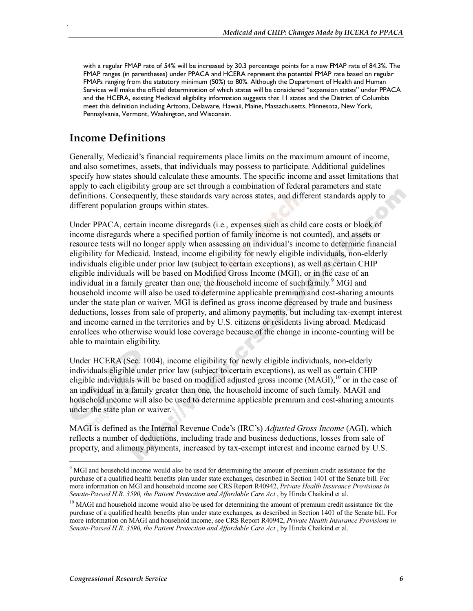with a regular FMAP rate of 54% will be increased by 30.3 percentage points for a new FMAP rate of 84.3%. The FMAP ranges (in parentheses) under PPACA and HCERA represent the potential FMAP rate based on regular FMAPs ranging from the statutory minimum (50%) to 80%. Although the Department of Health and Human Services will make the official determination of which states will be considered "expansion states" under PPACA and the HCERA, existing Medicaid eligibility information suggests that 11 states and the District of Columbia meet this definition including Arizona, Delaware, Hawaii, Maine, Massachusetts, Minnesota, New York, Pennsylvania, Vermont, Washington, and Wisconsin.

#### **Income Definitions**

.

Generally, Medicaid's financial requirements place limits on the maximum amount of income, and also sometimes, assets, that individuals may possess to participate. Additional guidelines specify how states should calculate these amounts. The specific income and asset limitations that apply to each eligibility group are set through a combination of federal parameters and state definitions. Consequently, these standards vary across states, and different standards apply to different population groups within states.

Under PPACA, certain income disregards (i.e., expenses such as child care costs or block of income disregards where a specified portion of family income is not counted), and assets or resource tests will no longer apply when assessing an individual's income to determine financial eligibility for Medicaid. Instead, income eligibility for newly eligible individuals, non-elderly individuals eligible under prior law (subject to certain exceptions), as well as certain CHIP eligible individuals will be based on Modified Gross Income (MGI), or in the case of an individual in a family greater than one, the household income of such family.<sup>9</sup> MGI and household income will also be used to determine applicable premium and cost-sharing amounts under the state plan or waiver. MGI is defined as gross income decreased by trade and business deductions, losses from sale of property, and alimony payments, but including tax-exempt interest and income earned in the territories and by U.S. citizens or residents living abroad. Medicaid enrollees who otherwise would lose coverage because of the change in income-counting will be able to maintain eligibility.

Under HCERA (Sec. 1004), income eligibility for newly eligible individuals, non-elderly individuals eligible under prior law (subject to certain exceptions), as well as certain CHIP eligible individuals will be based on modified adjusted gross income  $(MAGI)$ ,<sup>10</sup> or in the case of an individual in a family greater than one, the household income of such family. MAGI and household income will also be used to determine applicable premium and cost-sharing amounts under the state plan or waiver.

MAGI is defined as the Internal Revenue Code's (IRC's) *Adjusted Gross Income* (AGI), which reflects a number of deductions, including trade and business deductions, losses from sale of property, and alimony payments, increased by tax-exempt interest and income earned by U.S.

<sup>&</sup>lt;sup>9</sup> MGI and household income would also be used for determining the amount of premium credit assistance for the purchase of a qualified health benefits plan under state exchanges, described in Section 1401 of the Senate bill. For more information on MGI and household income see CRS Report R40942, *Private Health Insurance Provisions in Senate-Passed H.R. 3590, the Patient Protection and Affordable Care Act* , by Hinda Chaikind et al.

<sup>&</sup>lt;sup>10</sup> MAGI and household income would also be used for determining the amount of premium credit assistance for the purchase of a qualified health benefits plan under state exchanges, as described in Section 1401 of the Senate bill. For more information on MAGI and household income, see CRS Report R40942, *Private Health Insurance Provisions in*  Senate-Passed H.R. 3590, the Patient Protection and Affordable Care Act, by Hinda Chaikind et al.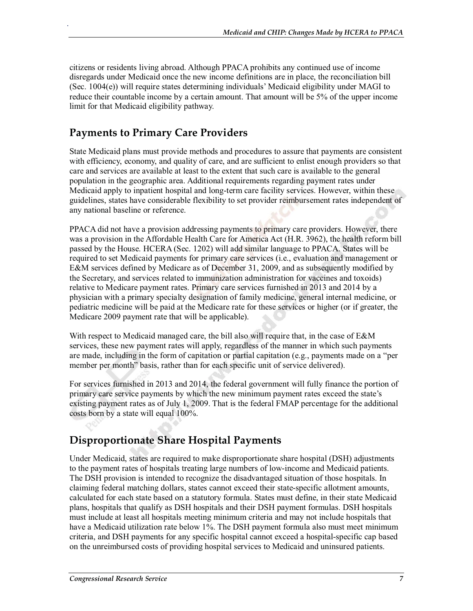citizens or residents living abroad. Although PPACA prohibits any continued use of income disregards under Medicaid once the new income definitions are in place, the reconciliation bill (Sec. 1004(e)) will require states determining individuals' Medicaid eligibility under MAGI to reduce their countable income by a certain amount. That amount will be 5% of the upper income limit for that Medicaid eligibility pathway.

#### **Payments to Primary Care Providers**

.

State Medicaid plans must provide methods and procedures to assure that payments are consistent with efficiency, economy, and quality of care, and are sufficient to enlist enough providers so that care and services are available at least to the extent that such care is available to the general population in the geographic area. Additional requirements regarding payment rates under Medicaid apply to inpatient hospital and long-term care facility services. However, within these guidelines, states have considerable flexibility to set provider reimbursement rates independent of any national baseline or reference.

PPACA did not have a provision addressing payments to primary care providers. However, there was a provision in the Affordable Health Care for America Act (H.R. 3962), the health reform bill passed by the House. HCERA (Sec. 1202) will add similar language to PPACA. States will be required to set Medicaid payments for primary care services (i.e., evaluation and management or E&M services defined by Medicare as of December 31, 2009, and as subsequently modified by the Secretary, and services related to immunization administration for vaccines and toxoids) relative to Medicare payment rates. Primary care services furnished in 2013 and 2014 by a physician with a primary specialty designation of family medicine, general internal medicine, or pediatric medicine will be paid at the Medicare rate for these services or higher (or if greater, the Medicare 2009 payment rate that will be applicable).

With respect to Medicaid managed care, the bill also will require that, in the case of E&M services, these new payment rates will apply, regardless of the manner in which such payments are made, including in the form of capitation or partial capitation (e.g., payments made on a "per member per month" basis, rather than for each specific unit of service delivered).

For services furnished in 2013 and 2014, the federal government will fully finance the portion of primary care service payments by which the new minimum payment rates exceed the state's existing payment rates as of July 1, 2009. That is the federal FMAP percentage for the additional costs born by a state will equal 100%.

### **Disproportionate Share Hospital Payments**

Under Medicaid, states are required to make disproportionate share hospital (DSH) adjustments to the payment rates of hospitals treating large numbers of low-income and Medicaid patients. The DSH provision is intended to recognize the disadvantaged situation of those hospitals. In claiming federal matching dollars, states cannot exceed their state-specific allotment amounts, calculated for each state based on a statutory formula. States must define, in their state Medicaid plans, hospitals that qualify as DSH hospitals and their DSH payment formulas. DSH hospitals must include at least all hospitals meeting minimum criteria and may not include hospitals that have a Medicaid utilization rate below 1%. The DSH payment formula also must meet minimum criteria, and DSH payments for any specific hospital cannot exceed a hospital-specific cap based on the unreimbursed costs of providing hospital services to Medicaid and uninsured patients.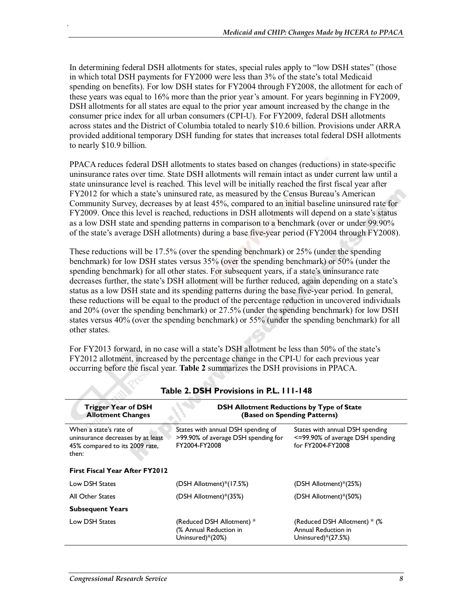In determining federal DSH allotments for states, special rules apply to "low DSH states" (those in which total DSH payments for FY2000 were less than 3% of the state's total Medicaid spending on benefits). For low DSH states for FY2004 through FY2008, the allotment for each of these years was equal to 16% more than the prior year's amount. For years beginning in FY2009, DSH allotments for all states are equal to the prior year amount increased by the change in the consumer price index for all urban consumers (CPI-U). For FY2009, federal DSH allotments across states and the District of Columbia totaled to nearly \$10.6 billion. Provisions under ARRA provided additional temporary DSH funding for states that increases total federal DSH allotments to nearly \$10.9 billion.

PPACA reduces federal DSH allotments to states based on changes (reductions) in state-specific uninsurance rates over time. State DSH allotments will remain intact as under current law until a state uninsurance level is reached. This level will be initially reached the first fiscal year after FY2012 for which a state's uninsured rate, as measured by the Census Bureau's American Community Survey, decreases by at least 45%, compared to an initial baseline uninsured rate for FY2009. Once this level is reached, reductions in DSH allotments will depend on a state's status as a low DSH state and spending patterns in comparison to a benchmark (over or under 99.90% of the state's average DSH allotments) during a base five-year period (FY2004 through FY2008).

These reductions will be 17.5% (over the spending benchmark) or 25% (under the spending benchmark) for low DSH states versus 35% (over the spending benchmark) or 50% (under the spending benchmark) for all other states. For subsequent years, if a state's uninsurance rate decreases further, the state's DSH allotment will be further reduced, again depending on a state's status as a low DSH state and its spending patterns during the base five-year period. In general, these reductions will be equal to the product of the percentage reduction in uncovered individuals and 20% (over the spending benchmark) or 27.5% (under the spending benchmark) for low DSH states versus 40% (over the spending benchmark) or 55% (under the spending benchmark) for all other states.

For FY2013 forward, in no case will a state's DSH allotment be less than 50% of the state's FY2012 allotment, increased by the percentage change in the CPI-U for each previous year occurring before the fiscal year. **Table 2** summarizes the DSH provisions in PPACA.

| <b>Trigger Year of DSH</b><br><b>Allotment Changes</b>                                                 | <b>DSH Allotment Reductions by Type of State</b><br>(Based on Spending Patterns)           |                                                                                           |  |  |
|--------------------------------------------------------------------------------------------------------|--------------------------------------------------------------------------------------------|-------------------------------------------------------------------------------------------|--|--|
| When a state's rate of<br>uninsurance decreases by at least<br>45% compared to its 2009 rate,<br>then: | States with annual DSH spending of<br>>99.90% of average DSH spending for<br>FY2004-FY2008 | States with annual DSH spending<br><= 99.90% of average DSH spending<br>for FY2004-FY2008 |  |  |
| <b>First Fiscal Year After FY2012</b>                                                                  |                                                                                            |                                                                                           |  |  |
| Low DSH States                                                                                         | $(DSH$ Allotment)* $(17.5%)$                                                               | (DSH Allotment)*(25%)                                                                     |  |  |
| <b>All Other States</b>                                                                                | (DSH Allotment)*(35%)                                                                      | (DSH Allotment)*(50%)                                                                     |  |  |
| <b>Subsequent Years</b>                                                                                |                                                                                            |                                                                                           |  |  |
| Low DSH States                                                                                         | (Reduced DSH Allotment) *<br>(% Annual Reduction in<br>Uninsured)*(20%)                    | (Reduced DSH Allotment) * (%<br>Annual Reduction in<br>Uninsured $*(27.5%)$               |  |  |

#### **Table 2. DSH Provisions in P.L. 111-148**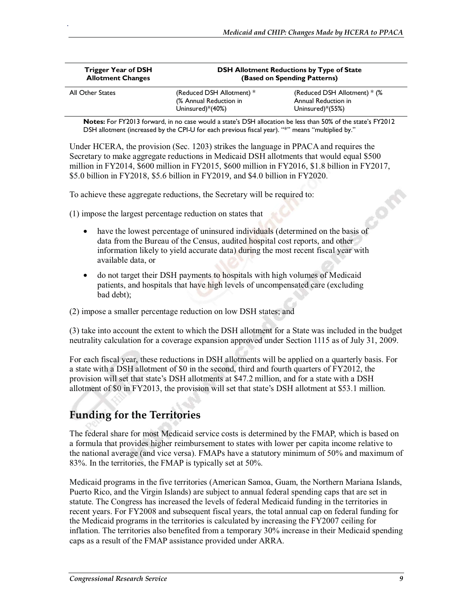| <b>Trigger Year of DSH</b><br><b>Allotment Changes</b> |                                                                         | <b>DSH Allotment Reductions by Type of State</b><br>(Based on Spending Patterns) |  |  |
|--------------------------------------------------------|-------------------------------------------------------------------------|----------------------------------------------------------------------------------|--|--|
| All Other States                                       | (Reduced DSH Allotment) *<br>(% Annual Reduction in<br>Uninsured)*(40%) | (Reduced DSH Allotment) * (%<br>Annual Reduction in<br>Uninsured) $*(55%)$       |  |  |

**Notes:** For FY2013 forward, in no case would a state's DSH allocation be less than 50% of the state's FY2012 DSH allotment (increased by the CPI-U for each previous fiscal year). "\*" means "multiplied by."

Under HCERA, the provision (Sec. 1203) strikes the language in PPACA and requires the Secretary to make aggregate reductions in Medicaid DSH allotments that would equal \$500 million in FY2014, \$600 million in FY2015, \$600 million in FY2016, \$1.8 billion in FY2017, \$5.0 billion in FY2018, \$5.6 billion in FY2019, and \$4.0 billion in FY2020.

To achieve these aggregate reductions, the Secretary will be required to:

(1) impose the largest percentage reduction on states that

.

- have the lowest percentage of uninsured individuals (determined on the basis of data from the Bureau of the Census, audited hospital cost reports, and other information likely to yield accurate data) during the most recent fiscal year with available data, or
- do not target their DSH payments to hospitals with high volumes of Medicaid patients, and hospitals that have high levels of uncompensated care (excluding bad debt);

(2) impose a smaller percentage reduction on low DSH states; and

(3) take into account the extent to which the DSH allotment for a State was included in the budget neutrality calculation for a coverage expansion approved under Section 1115 as of July 31, 2009.

For each fiscal year, these reductions in DSH allotments will be applied on a quarterly basis. For a state with a DSH allotment of \$0 in the second, third and fourth quarters of FY2012, the provision will set that state's DSH allotments at \$47.2 million, and for a state with a DSH allotment of \$0 in FY2013, the provision will set that state's DSH allotment at \$53.1 million.

### **Funding for the Territories**

The federal share for most Medicaid service costs is determined by the FMAP, which is based on a formula that provides higher reimbursement to states with lower per capita income relative to the national average (and vice versa). FMAPs have a statutory minimum of 50% and maximum of 83%. In the territories, the FMAP is typically set at 50%.

Medicaid programs in the five territories (American Samoa, Guam, the Northern Mariana Islands, Puerto Rico, and the Virgin Islands) are subject to annual federal spending caps that are set in statute. The Congress has increased the levels of federal Medicaid funding in the territories in recent years. For FY2008 and subsequent fiscal years, the total annual cap on federal funding for the Medicaid programs in the territories is calculated by increasing the FY2007 ceiling for inflation. The territories also benefited from a temporary 30% increase in their Medicaid spending caps as a result of the FMAP assistance provided under ARRA.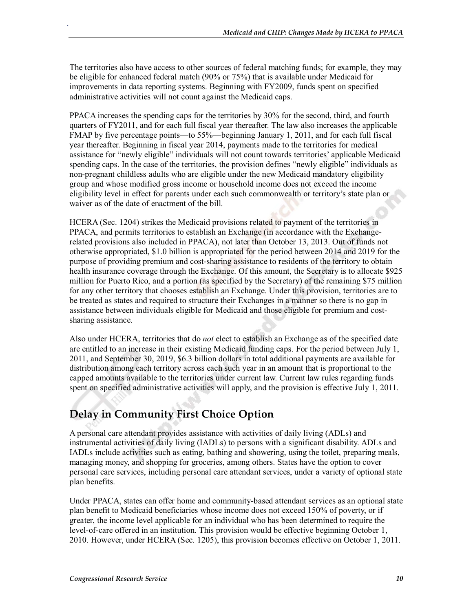The territories also have access to other sources of federal matching funds; for example, they may be eligible for enhanced federal match (90% or 75%) that is available under Medicaid for improvements in data reporting systems. Beginning with FY2009, funds spent on specified administrative activities will not count against the Medicaid caps.

PPACA increases the spending caps for the territories by 30% for the second, third, and fourth quarters of FY2011, and for each full fiscal year thereafter. The law also increases the applicable FMAP by five percentage points—to 55%—beginning January 1, 2011, and for each full fiscal year thereafter. Beginning in fiscal year 2014, payments made to the territories for medical assistance for "newly eligible" individuals will not count towards territories' applicable Medicaid spending caps. In the case of the territories, the provision defines "newly eligible" individuals as non-pregnant childless adults who are eligible under the new Medicaid mandatory eligibility group and whose modified gross income or household income does not exceed the income eligibility level in effect for parents under each such commonwealth or territory's state plan or waiver as of the date of enactment of the bill.

HCERA (Sec. 1204) strikes the Medicaid provisions related to payment of the territories in PPACA, and permits territories to establish an Exchange (in accordance with the Exchangerelated provisions also included in PPACA), not later than October 13, 2013. Out of funds not otherwise appropriated, \$1.0 billion is appropriated for the period between 2014 and 2019 for the purpose of providing premium and cost-sharing assistance to residents of the territory to obtain health insurance coverage through the Exchange. Of this amount, the Secretary is to allocate \$925 million for Puerto Rico, and a portion (as specified by the Secretary) of the remaining \$75 million for any other territory that chooses establish an Exchange. Under this provision, territories are to be treated as states and required to structure their Exchanges in a manner so there is no gap in assistance between individuals eligible for Medicaid and those eligible for premium and costsharing assistance.

Also under HCERA, territories that do *not* elect to establish an Exchange as of the specified date are entitled to an increase in their existing Medicaid funding caps. For the period between July 1, 2011, and September 30, 2019, \$6.3 billion dollars in total additional payments are available for distribution among each territory across each such year in an amount that is proportional to the capped amounts available to the territories under current law. Current law rules regarding funds spent on specified administrative activities will apply, and the provision is effective July 1, 2011.

### **Delay in Community First Choice Option**

A personal care attendant provides assistance with activities of daily living (ADLs) and instrumental activities of daily living (IADLs) to persons with a significant disability. ADLs and IADLs include activities such as eating, bathing and showering, using the toilet, preparing meals, managing money, and shopping for groceries, among others. States have the option to cover personal care services, including personal care attendant services, under a variety of optional state plan benefits.

Under PPACA, states can offer home and community-based attendant services as an optional state plan benefit to Medicaid beneficiaries whose income does not exceed 150% of poverty, or if greater, the income level applicable for an individual who has been determined to require the level-of-care offered in an institution. This provision would be effective beginning October 1, 2010. However, under HCERA (Sec. 1205), this provision becomes effective on October 1, 2011.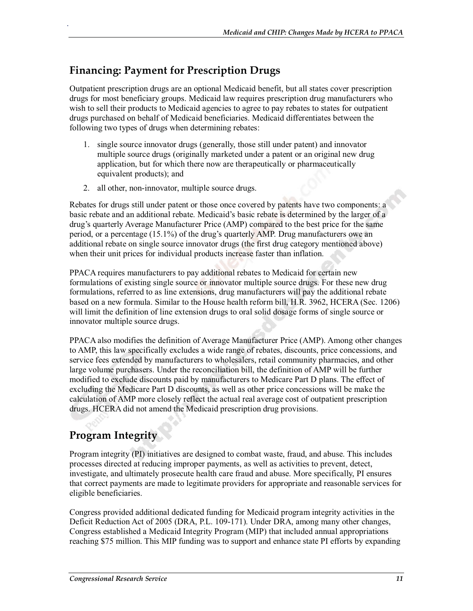#### **Financing: Payment for Prescription Drugs**

.

Outpatient prescription drugs are an optional Medicaid benefit, but all states cover prescription drugs for most beneficiary groups. Medicaid law requires prescription drug manufacturers who wish to sell their products to Medicaid agencies to agree to pay rebates to states for outpatient drugs purchased on behalf of Medicaid beneficiaries. Medicaid differentiates between the following two types of drugs when determining rebates:

- 1. single source innovator drugs (generally, those still under patent) and innovator multiple source drugs (originally marketed under a patent or an original new drug application, but for which there now are therapeutically or pharmaceutically equivalent products); and
- 2. all other, non-innovator, multiple source drugs.

Rebates for drugs still under patent or those once covered by patents have two components: a basic rebate and an additional rebate. Medicaid's basic rebate is determined by the larger of a drug's quarterly Average Manufacturer Price (AMP) compared to the best price for the same period, or a percentage (15.1%) of the drug's quarterly AMP. Drug manufacturers owe an additional rebate on single source innovator drugs (the first drug category mentioned above) when their unit prices for individual products increase faster than inflation.

PPACA requires manufacturers to pay additional rebates to Medicaid for certain new formulations of existing single source or innovator multiple source drugs. For these new drug formulations, referred to as line extensions, drug manufacturers will pay the additional rebate based on a new formula. Similar to the House health reform bill, H.R. 3962, HCERA (Sec. 1206) will limit the definition of line extension drugs to oral solid dosage forms of single source or innovator multiple source drugs.

PPACA also modifies the definition of Average Manufacturer Price (AMP). Among other changes to AMP, this law specifically excludes a wide range of rebates, discounts, price concessions, and service fees extended by manufacturers to wholesalers, retail community pharmacies, and other large volume purchasers. Under the reconciliation bill, the definition of AMP will be further modified to exclude discounts paid by manufacturers to Medicare Part D plans. The effect of excluding the Medicare Part D discounts, as well as other price concessions will be make the calculation of AMP more closely reflect the actual real average cost of outpatient prescription drugs. HCERA did not amend the Medicaid prescription drug provisions.

### **Program Integrity**

Program integrity (PI) initiatives are designed to combat waste, fraud, and abuse. This includes processes directed at reducing improper payments, as well as activities to prevent, detect, investigate, and ultimately prosecute health care fraud and abuse. More specifically, PI ensures that correct payments are made to legitimate providers for appropriate and reasonable services for eligible beneficiaries.

Congress provided additional dedicated funding for Medicaid program integrity activities in the Deficit Reduction Act of 2005 (DRA, P.L. 109-171). Under DRA, among many other changes, Congress established a Medicaid Integrity Program (MIP) that included annual appropriations reaching \$75 million. This MIP funding was to support and enhance state PI efforts by expanding